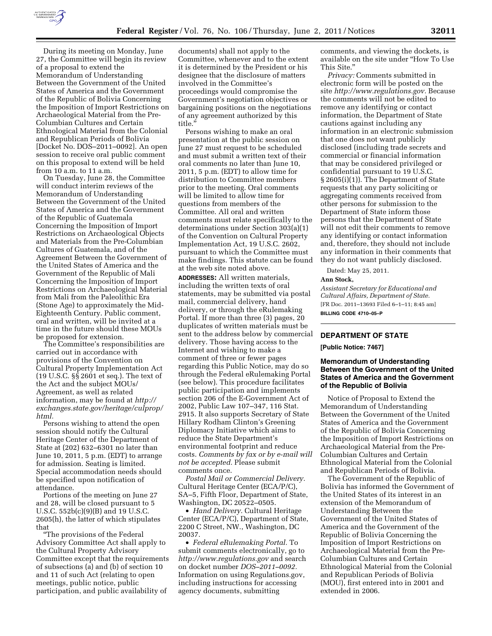

During its meeting on Monday, June 27, the Committee will begin its review of a proposal to extend the Memorandum of Understanding Between the Government of the United States of America and the Government of the Republic of Bolivia Concerning the Imposition of Import Restrictions on Archaeological Material from the Pre-Columbian Cultures and Certain Ethnological Material from the Colonial and Republican Periods of Bolivia [Docket No. DOS–2011–0092]. An open session to receive oral public comment on this proposal to extend will be held from 10 a.m. to 11 a.m.

On Tuesday, June 28, the Committee will conduct interim reviews of the Memorandum of Understanding Between the Government of the United States of America and the Government of the Republic of Guatemala Concerning the Imposition of Import Restrictions on Archaeological Objects and Materials from the Pre-Columbian Cultures of Guatemala, and of the Agreement Between the Government of the United States of America and the Government of the Republic of Mali Concerning the Imposition of Import Restrictions on Archaeological Material from Mali from the Paleolithic Era (Stone Age) to approximately the Mid-Eighteenth Century. Public comment, oral and written, will be invited at a time in the future should these MOUs be proposed for extension.

The Committee's responsibilities are carried out in accordance with provisions of the Convention on Cultural Property Implementation Act (19 U.S.C. §§ 2601 et seq.). The text of the Act and the subject MOUs/ Agreement, as well as related information, may be found at *[http://](http://exchanges.state.gov/heritage/culprop/html) [exchanges.state.gov/heritage/culprop/](http://exchanges.state.gov/heritage/culprop/html)  [html.](http://exchanges.state.gov/heritage/culprop/html)* 

Persons wishing to attend the open session should notify the Cultural Heritage Center of the Department of State at (202) 632–6301 no later than June 10, 2011, 5 p.m. (EDT) to arrange for admission. Seating is limited. Special accommodation needs should be specified upon notification of attendance.

Portions of the meeting on June 27 and 28, will be closed pursuant to 5 U.S.C. 552b(c)(9)(B) and 19 U.S.C. 2605(h), the latter of which stipulates that

''The provisions of the Federal Advisory Committee Act shall apply to the Cultural Property Advisory Committee except that the requirements of subsections (a) and (b) of section 10 and 11 of such Act (relating to open meetings, public notice, public participation, and public availability of

documents) shall not apply to the Committee, whenever and to the extent it is determined by the President or his designee that the disclosure of matters involved in the Committee's proceedings would compromise the Government's negotiation objectives or bargaining positions on the negotiations of any agreement authorized by this title.''

Persons wishing to make an oral presentation at the public session on June 27 must request to be scheduled and must submit a written text of their oral comments no later than June 10, 2011, 5 p.m. (EDT) to allow time for distribution to Committee members prior to the meeting. Oral comments will be limited to allow time for questions from members of the Committee. All oral and written comments must relate specifically to the determinations under Section 303(a)(1) of the Convention on Cultural Property Implementation Act, 19 U.S.C. 2602, pursuant to which the Committee must make findings. This statute can be found at the web site noted above.

**ADDRESSES:** All written materials, including the written texts of oral statements, may be submitted via postal mail, commercial delivery, hand delivery, or through the eRulemaking Portal. If more than three (3) pages, 20 duplicates of written materials must be sent to the address below by commercial delivery. Those having access to the Internet and wishing to make a comment of three or fewer pages regarding this Public Notice, may do so through the Federal eRulemaking Portal (see below). This procedure facilitates public participation and implements section 206 of the E-Government Act of 2002, Public Law 107–347, 116 Stat. 2915. It also supports Secretary of State Hillary Rodham Clinton's Greening Diplomacy Initiative which aims to reduce the State Department's environmental footprint and reduce costs. *Comments by fax or by e-mail will not be accepted.* Please submit comments once.

*Postal Mail or Commercial Delivery.*  Cultural Heritage Center (ECA/P/C), SA–5, Fifth Floor, Department of State, Washington, DC 20522–0505.

• *Hand Delivery.* Cultural Heritage Center (ECA/P/C), Department of State, 2200 C Street, NW., Washington, DC 20037.

• *Federal eRulemaking Portal.* To submit comments electronically, go to *<http://www.regulations.gov>* and search on docket number *DOS–2011–0092.*  Information on using Regulations.gov, including instructions for accessing agency documents, submitting

comments, and viewing the dockets, is available on the site under ''How To Use This Site.''

*Privacy:* Comments submitted in electronic form will be posted on the site *[http://www.regulations.gov.](http://www.regulations.gov)* Because the comments will not be edited to remove any identifying or contact information, the Department of State cautions against including any information in an electronic submission that one does not want publicly disclosed (including trade secrets and commercial or financial information that may be considered privileged or confidential pursuant to 19 U.S.C. § 2605(i)(1)). The Department of State requests that any party soliciting or aggregating comments received from other persons for submission to the Department of State inform those persons that the Department of State will not edit their comments to remove any identifying or contact information and, therefore, they should not include any information in their comments that they do not want publicly disclosed.

Dated: May 25, 2011.

#### **Ann Stock,**

*Assistant Secretary for Educational and Cultural Affairs, Department of State.*  [FR Doc. 2011–13693 Filed 6–1–11; 8:45 am] **BILLING CODE 4710–05–P** 

# **DEPARTMENT OF STATE**

**[Public Notice: 7467]** 

## **Memorandum of Understanding Between the Government of the United States of America and the Government of the Republic of Bolivia**

Notice of Proposal to Extend the Memorandum of Understanding Between the Government of the United States of America and the Government of the Republic of Bolivia Concerning the Imposition of Import Restrictions on Archaeological Material from the Pre-Columbian Cultures and Certain Ethnological Material from the Colonial and Republican Periods of Bolivia.

The Government of the Republic of Bolivia has informed the Government of the United States of its interest in an extension of the Memorandum of Understanding Between the Government of the United States of America and the Government of the Republic of Bolivia Concerning the Imposition of Import Restrictions on Archaeological Material from the Pre-Columbian Cultures and Certain Ethnological Material from the Colonial and Republican Periods of Bolivia (MOU), first entered into in 2001 and extended in 2006.